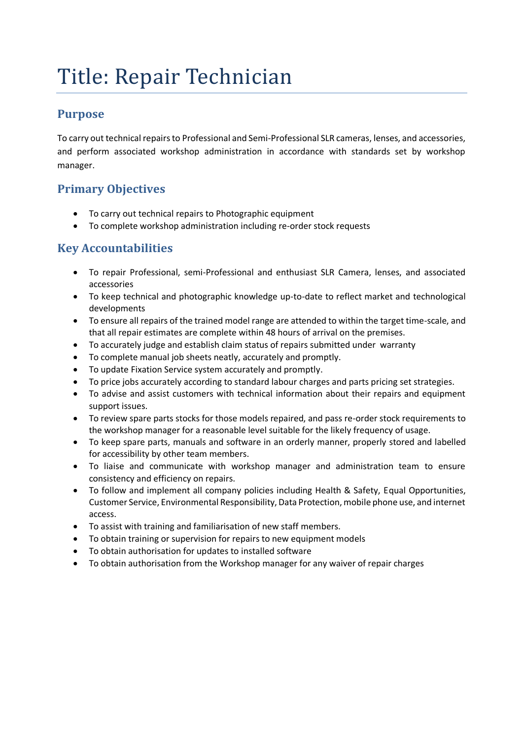# Title: Repair Technician

#### **Purpose**

To carry out technical repairs to Professional and Semi-Professional SLR cameras, lenses, and accessories, and perform associated workshop administration in accordance with standards set by workshop manager.

## **Primary Objectives**

- To carry out technical repairs to Photographic equipment
- To complete workshop administration including re-order stock requests

## **Key Accountabilities**

- To repair Professional, semi-Professional and enthusiast SLR Camera, lenses, and associated accessories
- To keep technical and photographic knowledge up-to-date to reflect market and technological developments
- To ensure all repairs of the trained model range are attended to within the target time-scale, and that all repair estimates are complete within 48 hours of arrival on the premises.
- To accurately judge and establish claim status of repairs submitted under warranty
- To complete manual job sheets neatly, accurately and promptly.
- To update Fixation Service system accurately and promptly.
- To price jobs accurately according to standard labour charges and parts pricing set strategies.
- To advise and assist customers with technical information about their repairs and equipment support issues.
- To review spare parts stocks for those models repaired, and pass re-order stock requirements to the workshop manager for a reasonable level suitable for the likely frequency of usage.
- To keep spare parts, manuals and software in an orderly manner, properly stored and labelled for accessibility by other team members.
- To liaise and communicate with workshop manager and administration team to ensure consistency and efficiency on repairs.
- To follow and implement all company policies including Health & Safety, Equal Opportunities, Customer Service, Environmental Responsibility, Data Protection, mobile phone use, and internet access.
- To assist with training and familiarisation of new staff members.
- To obtain training or supervision for repairs to new equipment models
- To obtain authorisation for updates to installed software
- To obtain authorisation from the Workshop manager for any waiver of repair charges